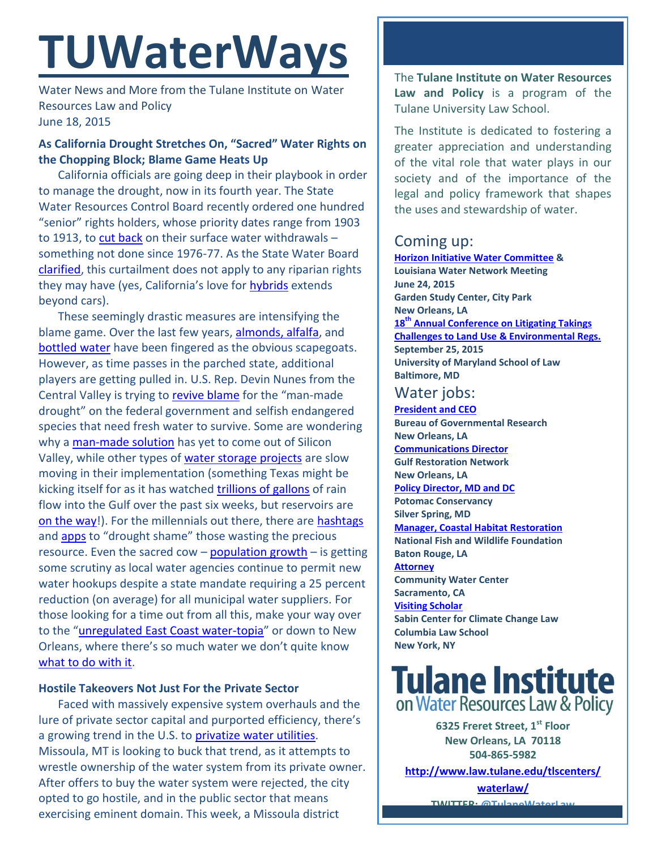# **TUWaterWays**

Water News and More from the Tulane Institute on Water Resources Law and Policy June 18, 2015

### **As California Drought Stretches On, "Sacred" Water Rights on the Chopping Block; Blame Game Heats Up**

California officials are going deep in their playbook in order to manage the drought, now in its fourth year. The State Water Resources Control Board recently ordered one hundred "senior" rights holders, whose priority dates range from 1903 to 1913, to [cut back](http://ww2.kqed.org/science/2015/06/15/court-battles-loom-over-challenge-to-state-water-rights/) on their surface water withdrawals  $$ something not done since 1976-77. As the State Water Board [clarified,](http://www.waterboards.ca.gov/waterrights/water_issues/programs/drought/docs/jun162015clarifltr.pdf) this curtailment does not apply to any riparian rights they may have (yes, California's love for [hybrids](https://books.google.com/books?id=ofTNQ3h8iBAC&pg=PA101&lpg=PA101&dq=california+hybrid+water+law+system&source=bl&ots=OJOz6YLt-n&sig=NqT2iDGvCcG9XfoVCyfBt1Xz8zw&hl=en&sa=X&ei=lNyCVc3QIY3ToASHu6jQCA&ved=0CC4Q6AEwAg#v=onepage&q=california%20hybrid%20water%20law%20system&f=false) extends beyond cars).

These seemingly drastic measures are intensifying the blame game. Over the last few years, [almonds, alfalfa,](http://www.businessinsider.com/real-villain-in-the-california-drought-isnt-almonds--its-red-meat-2015-4) and [bottled water](http://money.cnn.com/2015/05/26/news/companies/california-bottled-water-drought/) have been fingered as the obvious scapegoats. However, as time passes in the parched state, additional players are getting pulled in. U.S. Rep. Devin Nunes from the Central Valley is trying to [revive blame](http://www.npr.org/2015/06/15/414616299/endangered-species-protections-at-center-of-drought-debate) for the "man-made drought" on the federal government and selfish endangered species that need fresh water to survive. Some are wondering why a [man-made solution](http://www.wateronline.com/doc/water-tech-market-overlooked-despite-drought-0001) has yet to come out of Silicon Valley, while other types of [water storage projects](http://www.greenbiz.com/article/water-bank-possible-solution-californias-water-crisis) are slow moving in their implementation (something Texas might be kicking itself for as it has watched [trillions of gallons](http://www.huffingtonpost.com/huff-wires/20150614/us-texas-drought-aquifer-storage/?m=true) of rain flow into the Gulf over the past six weeks, but reservoirs are [on the way!](http://www.twdb.texas.gov/financial/programs/swift/index.asp)). For the millennials out there, there are [hashtags](https://twitter.com/hashtag/droughtshaming) and [apps](http://www.npr.org/sections/thetwo-way/2015/05/25/409522056/in-california-technology-makes-droughtshaming-easier-than-ever) to "drought shame" those wasting the precious resource. Even the sacred cow  $-$  [population growth](http://www.utsandiego.com/news/2015/jun/14/why-do-they-keep-building-homes-during-a-water/?#article-copy)  $-$  is getting some scrutiny as local water agencies continue to permit new water hookups despite a state mandate requiring a 25 percent reduction (on average) for all municipal water suppliers. For those looking for a time out from all this, make your way over to the "[unregulated East Coast water-topia](http://thedailyshow.cc.com/videos/sq7smy/drought-rumspringa)" or down to New Orleans, where there's so much water we don't quite know [what to do with it.](http://thelensnola.org/2015/05/14/if-you-like-your-flood-insurance-rates-you-should-love-your-street-flooding/)

#### **Hostile Takeovers Not Just For the Private Sector**

Faced with massively expensive system overhauls and the lure of private sector capital and purported efficiency, there's a growing trend in the U.S. to [privatize water utilities.](http://nextcity.org/daily/entry/city-water-private-utilities) Missoula, MT is looking to buck that trend, as it attempts to wrestle ownership of the water system from its private owner. After offers to buy the water system were rejected, the city opted to go hostile, and in the public sector that means exercising eminent domain. This week, a Missoula district

The **Tulane Institute on Water Resources Law and Policy** is a program of the Tulane University Law School.

The Institute is dedicated to fostering a greater appreciation and understanding of the vital role that water plays in our society and of the importance of the legal and policy framework that shapes the uses and stewardship of water.

# Coming up:

**Horizon [Initiative Water Committee](http://watershednola.posthaven.com/) & Louisiana Water Network Meeting June 24, 2015 Garden Study Center, City Park New Orleans, LA 18th [Annual Conference on Litigating Takings](http://forms.vermontlaw.edu/elc/landuse/Takings15/)  [Challenges to Land Use & Environmental Regs.](http://forms.vermontlaw.edu/elc/landuse/Takings15/) September 25, 2015 University of Maryland School of Law Baltimore, MD**

## Water jobs:

**[President and CEO](http://www.bgr.org/announcements/archives/president-and-ceo-search) Bureau of Governmental Research New Orleans, LA [Communications Director](http://healthygulf.org/who-we-are/jobs/communications-director) Gulf Restoration Network New Orleans, LA [Policy Director, MD and DC](https://static1.squarespace.com/static/52260563e4b0e56a47d7efa6/t/556dfc08e4b01f283c968028/1433271304422/2015+Policy+Director+-+MDDC.pdf) Potomac Conservancy Silver Spring, MD [Manager, Coastal Habitat Restoration](http://www.nfwf.org/whoweare/careers/Pages/manager-coastal.aspx#.VUorEo5Vikp) National Fish and Wildlife Foundation Baton Rouge, LA [Attorney](http://www.communitywatercenter.org/career_opportunities) Community Water Center Sacramento, CA [Visiting Scholar](http://web.law.columbia.edu/climate-change/about-center/working-us) Sabin Center for Climate Change Law Columbia Law School New York, NY**

# **Tulane Institute** on Water Resources Law & Policy

**6325 Freret Street, 1st Floor New Orleans, LA 70118 504-865-5982** 

**[http://www.law.tulane.edu/tlscenters/](http://www.law.tulane.edu/tlscenters/waterlaw/)**

**[waterlaw/](http://www.law.tulane.edu/tlscenters/waterlaw/) TWITTER: [@TulaneWaterLaw](http://www.twitter.com/TulaneWaterLaw)**